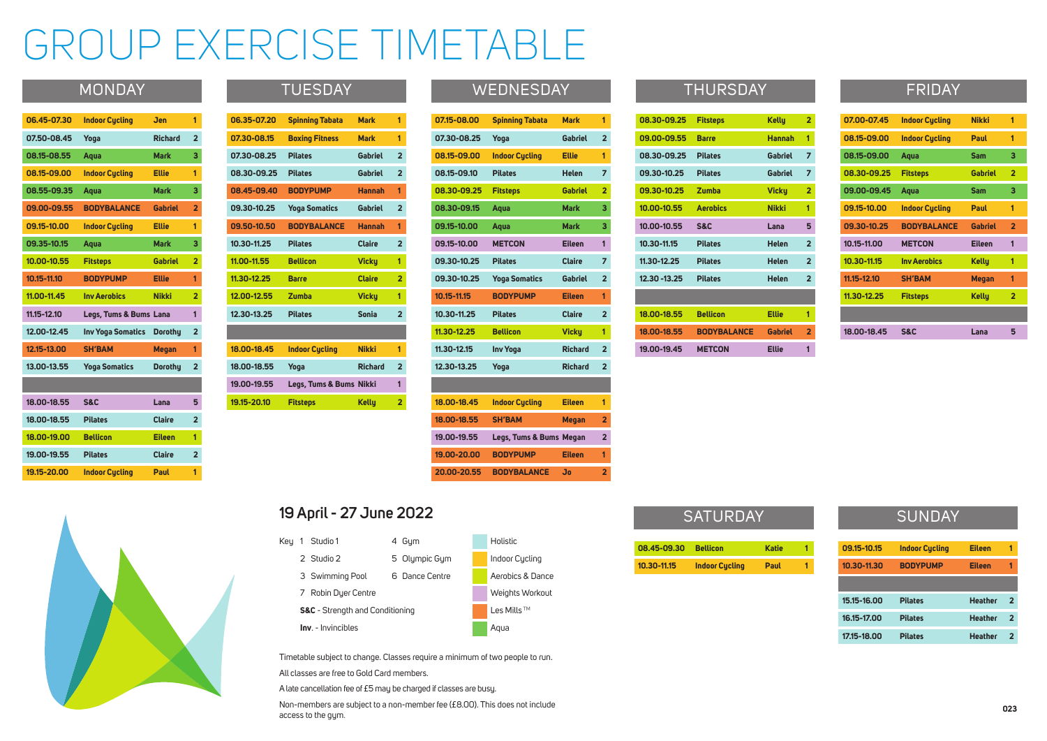#### MONDAY TUESDAY

| 07.15-08.00 | <b>Spinning Tabata</b>  | <b>Mark</b>    | 1              |
|-------------|-------------------------|----------------|----------------|
| 07.30-08.25 | Yoga                    | <b>Gabriel</b> | $\overline{2}$ |
| 08.15-09.00 | <b>Indoor Cycling</b>   | <b>Ellie</b>   | 1              |
| 08.15-09.10 | <b>Pilates</b>          | <b>Helen</b>   | 7              |
| 08.30-09.25 | <b>Fitsteps</b>         | <b>Gabriel</b> | $\overline{2}$ |
| 08.30-09.15 | Aqua                    | <b>Mark</b>    | 3              |
| 09.15-10.00 | Aqua                    | <b>Mark</b>    | 3              |
| 09.15-10.00 | <b>METCON</b>           | <b>Eileen</b>  | 1              |
| 09.30-10.25 | <b>Pilates</b>          | <b>Claire</b>  | 7              |
| 09.30-10.25 | <b>Yoga Somatics</b>    | <b>Gabriel</b> | $\overline{2}$ |
| 10.15-11.15 | <b>BODYPUMP</b>         | <b>Eileen</b>  | 1              |
| 10.30-11.25 | <b>Pilates</b>          | <b>Claire</b>  | $\overline{2}$ |
| 11.30-12.25 | <b>Bellicon</b>         | <b>Vicky</b>   | 1              |
| 11.30-12.15 | <b>Inv Yoga</b>         | <b>Richard</b> | $\overline{2}$ |
| 12.30-13.25 | Yoga                    | <b>Richard</b> | $\overline{2}$ |
|             |                         |                |                |
| 18.00-18.45 | <b>Indoor Cycling</b>   | <b>Eileen</b>  | 1              |
| 18.00-18.55 | <b>SH'BAM</b>           | <b>Megan</b>   | $\overline{2}$ |
| 19.00-19.55 | Legs, Tums & Bums Megan |                | $\overline{2}$ |
| 19.00-20.00 | <b>BODYPUMP</b>         | <b>Eileen</b>  | 1              |
| 20.00-20.55 | <b>BODYBALANCE</b>      | <b>Jo</b>      | $\overline{2}$ |

| 08.30-09.25   | <b>Fitsteps</b>    | <b>Kelly</b>   | 2                       |
|---------------|--------------------|----------------|-------------------------|
| 09.00-09.55   | <b>Barre</b>       | <b>Hannah</b>  | 1                       |
| 08.30-09.25   | <b>Pilates</b>     | <b>Gabriel</b> | 7                       |
| 09.30-10.25   | <b>Pilates</b>     | <b>Gabriel</b> | 7                       |
| 09.30-10.25   | <b>Zumba</b>       | <b>Vicky</b>   | $\overline{2}$          |
| 10.00-10.55   | <b>Aerobics</b>    | <b>Nikki</b>   | 1                       |
| 10.00-10.55   | <b>S&amp;C</b>     | Lana           | 5                       |
| 10.30-11.15   | <b>Pilates</b>     | <b>Helen</b>   | $\overline{2}$          |
| 11.30-12.25   | <b>Pilates</b>     | <b>Helen</b>   | $\overline{2}$          |
| 12.30 - 13.25 | <b>Pilates</b>     | <b>Helen</b>   | $\overline{2}$          |
|               |                    |                |                         |
| 18.00-18.55   | <b>Bellicon</b>    | <b>Ellie</b>   | 1                       |
| 18.00-18.55   | <b>BODYBALANCE</b> | <b>Gabriel</b> | $\overline{\mathbf{2}}$ |
| 19.00-19.45   | <b>METCON</b>      | <b>Ellie</b>   | 1                       |

## THURSDAY

| 18.00-18.45 | <b>S&amp;C</b>        | Lana           | 5              |
|-------------|-----------------------|----------------|----------------|
|             |                       |                |                |
| 11.30-12.25 | <b>Fitsteps</b>       | <b>Kelly</b>   | $\overline{2}$ |
| 11.15-12.10 | <b>SH'BAM</b>         | Megan          | 1              |
| 10.30-11.15 | <b>Inv Aerobics</b>   | <b>Kelly</b>   | 1              |
| 10.15-11.00 | <b>METCON</b>         | <b>Eileen</b>  | 1              |
| 09.30-10.25 | <b>BODYBALANCE</b>    | <b>Gabriel</b> | $\overline{2}$ |
| 09.15-10.00 | <b>Indoor Cycling</b> | Paul           | 1              |
| 09.00-09.45 | Aqua                  | <b>Sam</b>     | 3              |
| 08.30-09.25 | <b>Fitsteps</b>       | <b>Gabriel</b> | $\overline{2}$ |
| 08.15-09.00 | Aqua                  | <b>Sam</b>     | 3              |
| 08.15-09.00 | <b>Indoor Cycling</b> | Paul           | 1              |
| 07.00-07.45 | <b>Indoor Cycling</b> | <b>Nikki</b>   | 1              |
|             |                       |                |                |

# **SUNDAY**

### FRIDAY

| 08.45-09.30 | <b>Bellicon</b>       | <b>Katie</b> |  |
|-------------|-----------------------|--------------|--|
| 10.30-11.15 | <b>Indoor Cycling</b> | Paul         |  |

|                          | 2                       |
|--------------------------|-------------------------|
| ו                        | 1                       |
| $\overline{\phantom{a}}$ | 7                       |
| l                        | 7                       |
|                          | 2                       |
|                          | 1                       |
|                          | 5                       |
|                          | $\overline{\mathbf{c}}$ |
|                          | $\overline{\mathbf{c}}$ |
|                          | $\overline{2}$          |
|                          |                         |
|                          | 1                       |
| ֦                        | $\overline{2}$          |
|                          | 1                       |

| 09.15-10.15 | <b>Indoor Cucling</b> | <b>Eileen</b>  | 1 |
|-------------|-----------------------|----------------|---|
| 10.30-11.30 | <b>BODYPUMP</b>       | <b>Eileen</b>  | 1 |
|             |                       |                |   |
|             |                       |                |   |
| 15.15-16.00 | <b>Pilates</b>        | <b>Heather</b> | 2 |
| 16.15-17.00 | <b>Pilates</b>        | <b>Heather</b> | 2 |

# GROUP EXERCISE TIMETABLE

### **19 April - 27 June 2022**

- Key 1 Studio 1 4 Gym 2 Studio 2 5 Olympic Gym **Indoor Cycling** 3 Swimming Pool 6 Dance Centre **A**erobics & Dance 7 Robin Dyer Centre Weights Workout **S&C** - Strength and Conditioning
	- **Inv**. Invincibles Aqua
- 
- Les Mills<sup>™</sup>

#### Timetable subject to change. Classes require a minimum of two people to run. All classes are free to Gold Card members.

A late cancellation fee of £5 may be charged if classes are busy.

Non-members are subject to a non-member fee (£8.00). This does not include access to the gym.

# **SATURDAY**

| 06.35-07.20 | <b>Spinning Tabata</b>  | <b>Mark</b>    | 1              |
|-------------|-------------------------|----------------|----------------|
| 07.30-08.15 | <b>Boxing Fitness</b>   | <b>Mark</b>    | 1              |
| 07.30-08.25 | <b>Pilates</b>          | <b>Gabriel</b> | $\overline{2}$ |
| 08.30-09.25 | <b>Pilates</b>          | <b>Gabriel</b> | $\overline{2}$ |
| 08.45-09.40 | <b>BODYPUMP</b>         | <b>Hannah</b>  | 1              |
| 09.30-10.25 | <b>Yoga Somatics</b>    | <b>Gabriel</b> | $\overline{2}$ |
| 09.50-10.50 | <b>BODYBALANCE</b>      | <b>Hannah</b>  | 1              |
| 10.30-11.25 | <b>Pilates</b>          | <b>Claire</b>  | $\overline{2}$ |
| 11.00-11.55 | <b>Bellicon</b>         | <b>Vicky</b>   | 1              |
| 11.30-12.25 | <b>Barre</b>            | <b>Claire</b>  | $\overline{2}$ |
| 12.00-12.55 | <b>Zumba</b>            | <b>Vicky</b>   | 1              |
| 12.30-13.25 | <b>Pilates</b>          | <b>Sonia</b>   | $\overline{2}$ |
|             |                         |                |                |
| 18.00-18.45 | <b>Indoor Cycling</b>   | <b>Nikki</b>   | 1              |
| 18.00-18.55 | Yoga                    | <b>Richard</b> | $\overline{2}$ |
| 19.00-19.55 | Legs, Tums & Bums Nikki |                | 1              |
| 19.15-20.10 | <b>Fitsteps</b>         | <b>Kelly</b>   | $\overline{2}$ |

### **WEDNESDAY**

| 06.45-07.30 | <b>Indoor Cycling</b>    | Jen            | 1                       |
|-------------|--------------------------|----------------|-------------------------|
| 07.50-08.45 | Yoga                     | <b>Richard</b> | $\overline{2}$          |
| 08.15-08.55 | Aqua                     | <b>Mark</b>    | 3                       |
| 08.15-09.00 | <b>Indoor Cycling</b>    | <b>Ellie</b>   | 1                       |
| 08.55-09.35 | Aqua                     | <b>Mark</b>    | 3                       |
| 09.00-09.55 | <b>BODYBALANCE</b>       | <b>Gabriel</b> | $\overline{2}$          |
| 09.15-10.00 | <b>Indoor Cycling</b>    | <b>Ellie</b>   | 1                       |
| 09.35-10.15 | Aqua                     | <b>Mark</b>    | 3                       |
| 10.00-10.55 | <b>Fitsteps</b>          | <b>Gabriel</b> | $\overline{2}$          |
| 10.15-11.10 | <b>BODYPUMP</b>          | <b>Ellie</b>   | 1                       |
| 11.00-11.45 | <b>Inv Aerobics</b>      | <b>Nikki</b>   | $\overline{2}$          |
| 11.15-12.10 | Legs, Tums & Bums        | Lana           | 1                       |
| 12.00-12.45 | <b>Inv Yoga Somatics</b> | <b>Dorothy</b> | $\overline{\mathbf{2}}$ |
| 12.15-13.00 | <b>SH'BAM</b>            | <b>Megan</b>   | 1                       |
| 13.00-13.55 | <b>Yoga Somatics</b>     | <b>Dorothy</b> | $\overline{2}$          |
|             |                          |                |                         |
| 18.00-18.55 | <b>S&amp;C</b>           | Lana           | 5                       |
| 18.00-18.55 | <b>Pilates</b>           | <b>Claire</b>  | $\overline{2}$          |
| 18.00-19.00 | <b>Bellicon</b>          | <b>Eileen</b>  | 1                       |
| 19.00-19.55 | <b>Pilates</b>           | <b>Claire</b>  | $\overline{\mathbf{2}}$ |
| 19.15-20.00 | <b>Indoor Cycling</b>    | Paul           | 1                       |